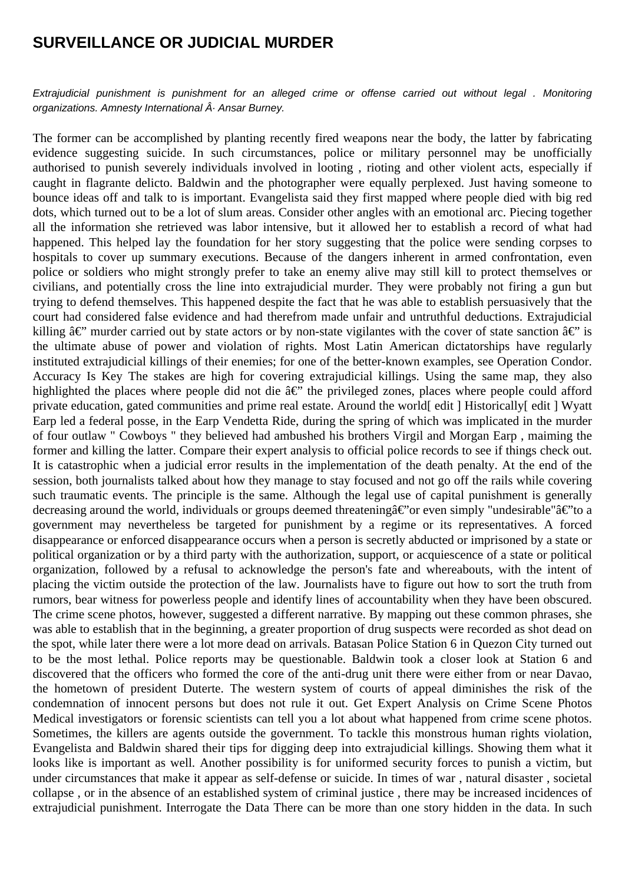## **SURVEILLANCE OR JUDICIAL MURDER**

Extrajudicial punishment is punishment for an alleged crime or offense carried out without legal . Monitoring organizations. Amnesty International  $\hat{A}$ . Ansar Burney.

The former can be accomplished by planting recently fired weapons near the body, the latter by fabricating evidence suggesting suicide. In such circumstances, police or military personnel may be unofficially authorised to punish severely individuals involved in looting , rioting and other violent acts, especially if caught in flagrante delicto. Baldwin and the photographer were equally perplexed. Just having someone to bounce ideas off and talk to is important. Evangelista said they first mapped where people died with big red dots, which turned out to be a lot of slum areas. Consider other angles with an emotional arc. Piecing together all the information she retrieved was labor intensive, but it allowed her to establish a record of what had happened. This helped lay the foundation for her story suggesting that the police were sending corpses to hospitals to cover up summary executions. Because of the dangers inherent in armed confrontation, even police or soldiers who might strongly prefer to take an enemy alive may still kill to protect themselves or civilians, and potentially cross the line into extrajudicial murder. They were probably not firing a gun but trying to defend themselves. This happened despite the fact that he was able to establish persuasively that the court had considered false evidence and had therefrom made unfair and untruthful deductions. Extrajudicial killing  $\hat{a}\epsilon$ " murder carried out by state actors or by non-state vigilantes with the cover of state sanction  $\hat{a}\epsilon$ " is the ultimate abuse of power and violation of rights. Most Latin American dictatorships have regularly instituted extrajudicial killings of their enemies; for one of the better-known examples, see Operation Condor. Accuracy Is Key The stakes are high for covering extrajudicial killings. Using the same map, they also highlighted the places where people did not die  $\hat{a} \in \hat{B}^*$  the privileged zones, places where people could afford private education, gated communities and prime real estate. Around the world[ edit ] Historically[ edit ] Wyatt Earp led a federal posse, in the Earp Vendetta Ride, during the spring of which was implicated in the murder of four outlaw " Cowboys " they believed had ambushed his brothers Virgil and Morgan Earp , maiming the former and killing the latter. Compare their expert analysis to official police records to see if things check out. It is catastrophic when a judicial error results in the implementation of the death penalty. At the end of the session, both journalists talked about how they manage to stay focused and not go off the rails while covering such traumatic events. The principle is the same. Although the legal use of capital punishment is generally decreasing around the world, individuals or groups deemed threatening  $\hat{a} \in \hat{c}$  or even simply "undesirable" $\hat{a} \in \hat{c}$  to a government may nevertheless be targeted for punishment by a regime or its representatives. A forced disappearance or enforced disappearance occurs when a person is secretly abducted or imprisoned by a state or political organization or by a third party with the authorization, support, or acquiescence of a state or political organization, followed by a refusal to acknowledge the person's fate and whereabouts, with the intent of placing the victim outside the protection of the law. Journalists have to figure out how to sort the truth from rumors, bear witness for powerless people and identify lines of accountability when they have been obscured. The crime scene photos, however, suggested a different narrative. By mapping out these common phrases, she was able to establish that in the beginning, a greater proportion of drug suspects were recorded as shot dead on the spot, while later there were a lot more dead on arrivals. Batasan Police Station 6 in Quezon City turned out to be the most lethal. Police reports may be questionable. Baldwin took a closer look at Station 6 and discovered that the officers who formed the core of the anti-drug unit there were either from or near Davao, the hometown of president Duterte. The western system of courts of appeal diminishes the risk of the condemnation of innocent persons but does not rule it out. Get Expert Analysis on Crime Scene Photos Medical investigators or forensic scientists can tell you a lot about what happened from crime scene photos. Sometimes, the killers are agents outside the government. To tackle this monstrous human rights violation, Evangelista and Baldwin shared their tips for digging deep into extrajudicial killings. Showing them what it looks like is important as well. Another possibility is for uniformed security forces to punish a victim, but under circumstances that make it appear as self-defense or suicide. In times of war , natural disaster , societal collapse , or in the absence of an established system of criminal justice , there may be increased incidences of extrajudicial punishment. Interrogate the Data There can be more than one story hidden in the data. In such